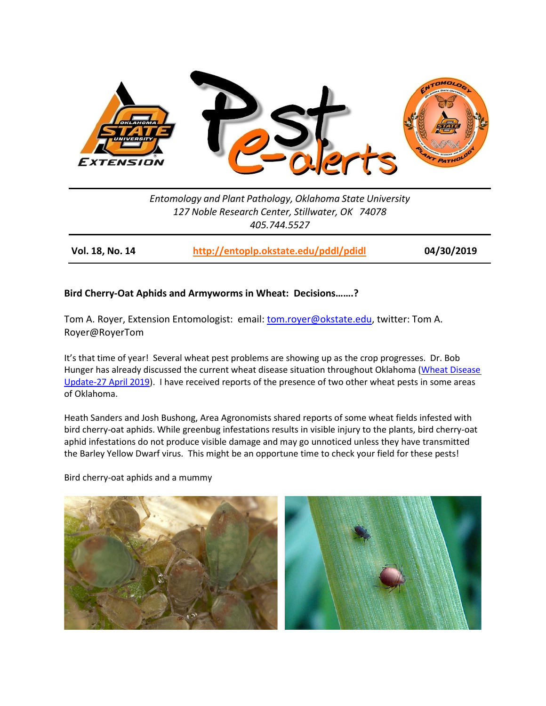

*Entomology and Plant Pathology, Oklahoma State University 127 Noble Research Center, Stillwater, OK 74078 405.744.5527*

**Vol. 18, No. 14 <http://entoplp.okstate.edu/pddl/pdidl> 04/30/2019**

## **Bird Cherry-Oat Aphids and Armyworms in Wheat: Decisions…….?**

Tom A. Royer, Extension Entomologist: email: [tom.royer@okstate.edu,](mailto:tom.royer@okstate.edu) twitter: Tom A. Royer@RoyerTom

It's that time of year! Several wheat pest problems are showing up as the crop progresses. Dr. Bob Hunger has already discussed the current wheat disease situation throughout Oklahoma (Wheat Disease [Update-27 April 2019\)](http://entoplp.okstate.edu/pddl/2019/PA%2018%2013.pdf). I have received reports of the presence of two other wheat pests in some areas of Oklahoma.

Heath Sanders and Josh Bushong, Area Agronomists shared reports of some wheat fields infested with bird cherry-oat aphids. While greenbug infestations results in visible injury to the plants, bird cherry-oat aphid infestations do not produce visible damage and may go unnoticed unless they have transmitted the Barley Yellow Dwarf virus. This might be an opportune time to check your field for these pests!

Bird cherry-oat aphids and a mummy

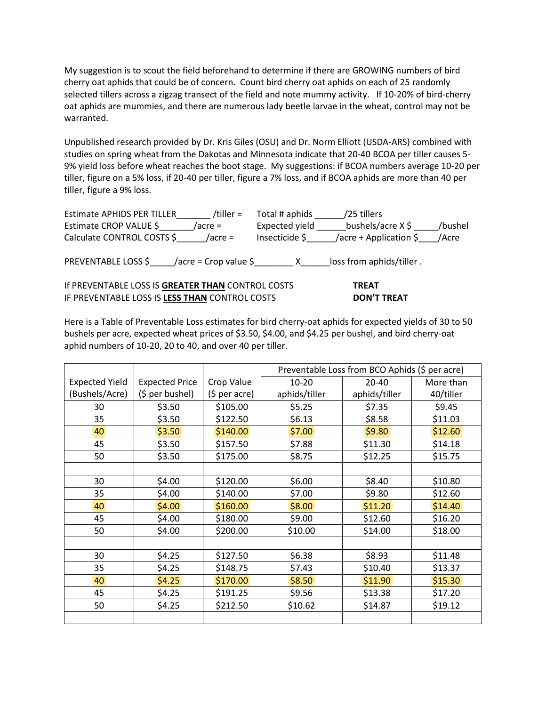My suggestion is to scout the field beforehand to determine if there are GROWING numbers of bird cherry oat aphids that could be of concern. Count bird cherry oat aphids on each of 25 randomly selected tillers across a zigzag transect of the field and note mummy activity. If 10-20% of bird-cherry oat aphids are mummies, and there are numerous lady beetle larvae in the wheat, control may not be warranted.

Unpublished research provided by Dr. Kris Giles (OSU) and Dr. Norm Elliott (USDA-ARS) combined with studies on spring wheat from the Dakotas and Minnesota indicate that 20-40 BCOA per tiller causes 5- 9% yield loss before wheat reaches the boot stage. My suggestions: if BCOA numbers average 10-20 per tiller, figure on a 5% loss, if 20-40 per tiller, figure a 7% loss, and if BCOA aphids are more than 40 per tiller, figure a 9% loss.

| <b>Estimate APHIDS PER TILLER</b><br>/tiller = | Total # aphids | /25 tillers                       |         |
|------------------------------------------------|----------------|-----------------------------------|---------|
| Estimate CROP VALUE \$<br>/acre =              | Expected yield | bushels/acre $X$ \$               | /bushel |
| Calculate CONTROL COSTS \$<br>$/$ acre =       | Insecticide \$ | /acre + Application $\frac{2}{5}$ | /Acre   |
| PREVENTABLE LOSS \$<br>/acre = Crop value \$_  |                | loss from aphids/tiller.          |         |

If PREVENTABLE LOSS IS **GREATER THAN** CONTROL COSTS **TREAT** IF PREVENTABLE LOSS IS **LESS THAN** CONTROL COSTS **DON'T TREAT** 

Here is a Table of Preventable Loss estimates for bird cherry-oat aphids for expected yields of 30 to 50 bushels per acre, expected wheat prices of \$3.50, \$4.00, and \$4.25 per bushel, and bird cherry-oat aphid numbers of 10-20, 20 to 40, and over 40 per tiller.

|                       |                       |                        | Preventable Loss from BCO Aphids (\$ per acre) |               |           |
|-----------------------|-----------------------|------------------------|------------------------------------------------|---------------|-----------|
| <b>Expected Yield</b> | <b>Expected Price</b> | Crop Value             | $10 - 20$                                      | 20-40         | More than |
| (Bushels/Acre)        | (\$ per bushel)       | $(5 \text{ per acre})$ | aphids/tiller                                  | aphids/tiller | 40/tiller |
| 30                    | \$3.50                | \$105.00               | \$5.25                                         | \$7.35        | \$9.45    |
| 35                    | \$3.50                | \$122.50               | \$6.13                                         | \$8.58        | \$11.03   |
| 40                    | \$3.50                | \$140.00               | \$7.00                                         | \$9.80        | \$12.60   |
| 45                    | \$3.50                | \$157.50               | \$7.88                                         | \$11.30       | \$14.18   |
| 50                    | \$3.50                | \$175.00               | \$8.75                                         | \$12.25       | \$15.75   |
|                       |                       |                        |                                                |               |           |
| 30                    | \$4.00                | \$120.00               | \$6.00                                         | \$8.40        | \$10.80   |
| 35                    | \$4.00                | \$140.00               | \$7.00                                         | \$9.80        | \$12.60   |
| 40                    | \$4.00\$              | \$160.00               | \$8.00                                         | \$11.20       | \$14.40   |
| 45                    | \$4.00                | \$180.00               | \$9.00                                         | \$12.60       | \$16.20   |
| 50                    | \$4.00                | \$200.00               | \$10.00                                        | \$14.00       | \$18.00   |
|                       |                       |                        |                                                |               |           |
| 30                    | \$4.25                | \$127.50               | \$6.38                                         | \$8.93        | \$11.48   |
| 35                    | \$4.25                | \$148.75               | \$7.43                                         | \$10.40       | \$13.37   |
| 40                    | \$4.25                | \$170.00               | \$8.50                                         | \$11.90       | \$15.30   |
| 45                    | \$4.25                | \$191.25               | \$9.56                                         | \$13.38       | \$17.20   |
| 50                    | \$4.25                | \$212.50               | \$10.62                                        | \$14.87       | \$19.12   |
|                       |                       |                        |                                                |               |           |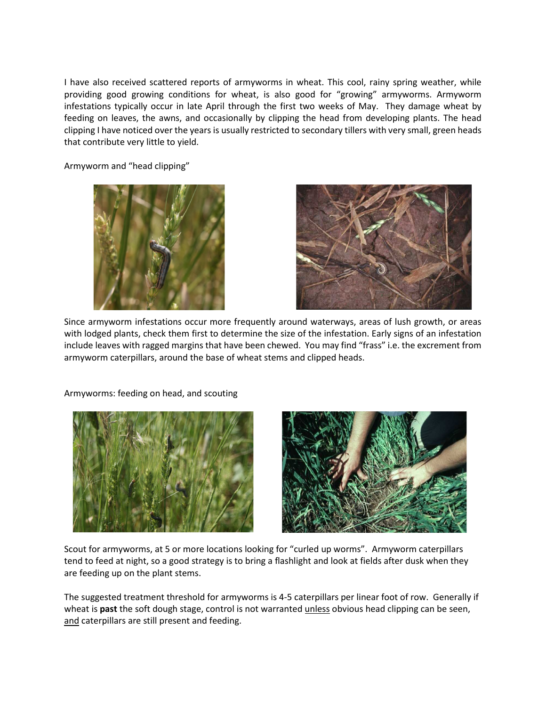I have also received scattered reports of armyworms in wheat. This cool, rainy spring weather, while providing good growing conditions for wheat, is also good for "growing" armyworms. Armyworm infestations typically occur in late April through the first two weeks of May. They damage wheat by feeding on leaves, the awns, and occasionally by clipping the head from developing plants. The head clipping I have noticed over the years is usually restricted to secondary tillers with very small, green heads that contribute very little to yield.

Armyworm and "head clipping"





Since armyworm infestations occur more frequently around waterways, areas of lush growth, or areas with lodged plants, check them first to determine the size of the infestation. Early signs of an infestation include leaves with ragged margins that have been chewed. You may find "frass" i.e. the excrement from armyworm caterpillars, around the base of wheat stems and clipped heads.



Armyworms: feeding on head, and scouting



Scout for armyworms, at 5 or more locations looking for "curled up worms". Armyworm caterpillars tend to feed at night, so a good strategy is to bring a flashlight and look at fields after dusk when they are feeding up on the plant stems.

The suggested treatment threshold for armyworms is 4-5 caterpillars per linear foot of row. Generally if wheat is **past** the soft dough stage, control is not warranted unless obvious head clipping can be seen, and caterpillars are still present and feeding.